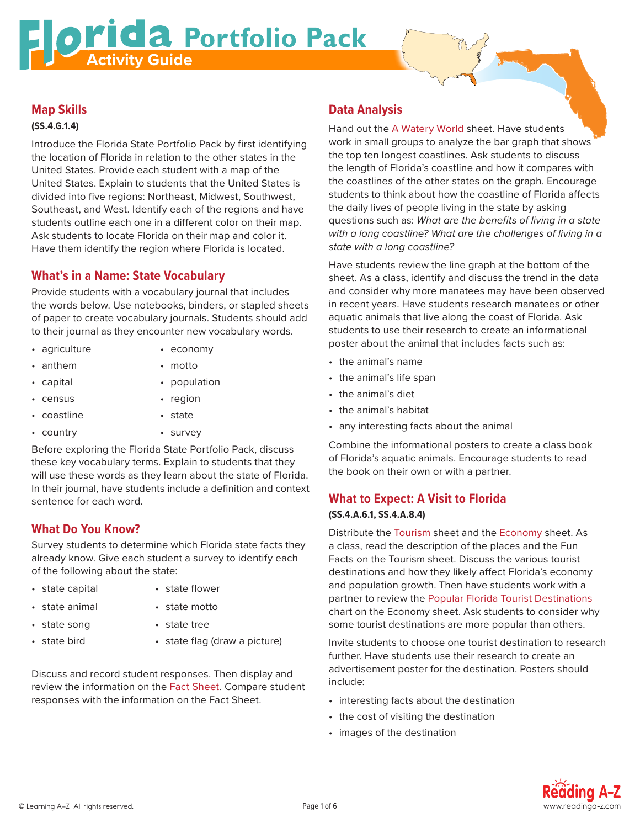# **Activity Guide**<br>Activity Guide

## **Map Skills**

#### **(SS.4.G.1.4)**

Introduce the Florida State Portfolio Pack by first identifying the location of Florida in relation to the other states in the United States. Provide each student with a map of the United States. Explain to students that the United States is divided into five regions: Northeast, Midwest, Southwest, Southeast, and West. Identify each of the regions and have students outline each one in a different color on their map. Ask students to locate Florida on their map and color it. Have them identify the region where Florida is located.

# **What's in a Name: State Vocabulary**

Provide students with a vocabulary journal that includes the words below. Use notebooks, binders, or stapled sheets of paper to create vocabulary journals. Students should add to their journal as they encounter new vocabulary words.

- agriculture economy
- anthem motto
- capital population
- census region
- coastline state
- country survey
- Before exploring the Florida State Portfolio Pack, discuss these key vocabulary terms. Explain to students that they will use these words as they learn about the state of Florida. In their journal, have students include a definition and context sentence for each word.

# **What Do You Know?**

Survey students to determine which Florida state facts they already know. Give each student a survey to identify each of the following about the state:

- state capital state flower
- state animal state motto
- state song state tree
- 
- -
- state bird state flag (draw a picture)

Discuss and record student responses. Then display and review the information on the Fact Sheet. Compare student responses with the information on the Fact Sheet.

# **Data Analysis**

Hand out the A Watery World sheet. Have students work in small groups to analyze the bar graph that shows the top ten longest coastlines. Ask students to discuss the length of Florida's coastline and how it compares with the coastlines of the other states on the graph. Encourage students to think about how the coastline of Florida affects the daily lives of people living in the state by asking questions such as: *What are the benefits of living in a state with a long coastline? What are the challenges of living in a state with a long coastline?*

Have students review the line graph at the bottom of the sheet. As a class, identify and discuss the trend in the data and consider why more manatees may have been observed in recent years. Have students research manatees or other aquatic animals that live along the coast of Florida. Ask students to use their research to create an informational poster about the animal that includes facts such as:

- the animal's name
- the animal's life span
- the animal's diet
- the animal's habitat
- any interesting facts about the animal

Combine the informational posters to create a class book of Florida's aquatic animals. Encourage students to read the book on their own or with a partner.

## **What to Expect: A Visit to Florida (SS.4.A.6.1, SS.4.A.8.4)**

Distribute the Tourism sheet and the Economy sheet. As a class, read the description of the places and the Fun Facts on the Tourism sheet. Discuss the various tourist destinations and how they likely affect Florida's economy and population growth. Then have students work with a partner to review the Popular Florida Tourist Destinations chart on the Economy sheet. Ask students to consider why some tourist destinations are more popular than others.

Invite students to choose one tourist destination to research further. Have students use their research to create an advertisement poster for the destination. Posters should include:

- interesting facts about the destination
- the cost of visiting the destination
- images of the destination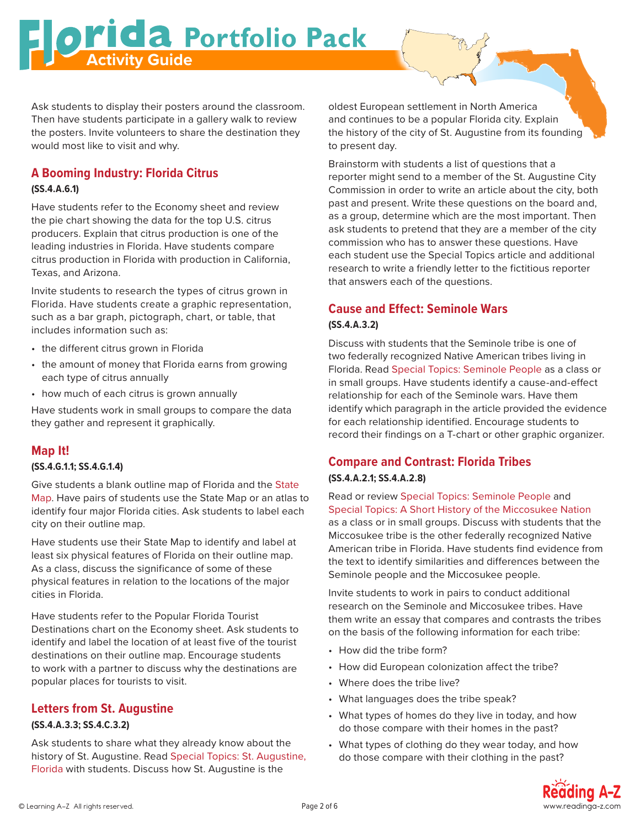#### Ask students to display their posters around the classroom. Then have students participate in a gallery walk to review the posters. Invite volunteers to share the destination they would most like to visit and why.

**Activity Guide**<br>Activity Guide

# **A Booming Industry: Florida Citrus**

#### **(SS.4.A.6.1)**

Have students refer to the Economy sheet and review the pie chart showing the data for the top U.S. citrus producers. Explain that citrus production is one of the leading industries in Florida. Have students compare citrus production in Florida with production in California, Texas, and Arizona.

Invite students to research the types of citrus grown in Florida. Have students create a graphic representation, such as a bar graph, pictograph, chart, or table, that includes information such as:

- the different citrus grown in Florida
- the amount of money that Florida earns from growing each type of citrus annually
- how much of each citrus is grown annually

Have students work in small groups to compare the data they gather and represent it graphically.

# **Map It!**

### **(SS.4.G.1.1; SS.4.G.1.4)**

Give students a blank outline map of Florida and the State Map. Have pairs of students use the State Map or an atlas to identify four major Florida cities. Ask students to label each city on their outline map.

Have students use their State Map to identify and label at least six physical features of Florida on their outline map. As a class, discuss the significance of some of these physical features in relation to the locations of the major cities in Florida.

Have students refer to the Popular Florida Tourist Destinations chart on the Economy sheet. Ask students to identify and label the location of at least five of the tourist destinations on their outline map. Encourage students to work with a partner to discuss why the destinations are popular places for tourists to visit.

# **Letters from St. Augustine**

## **(SS.4.A.3.3; SS.4.C.3.2)**

Ask students to share what they already know about the history of St. Augustine. Read Special Topics: St. Augustine, Florida with students. Discuss how St. Augustine is the

oldest European settlement in North America and continues to be a popular Florida city. Explain the history of the city of St. Augustine from its founding to present day.

Brainstorm with students a list of questions that a reporter might send to a member of the St. Augustine City Commission in order to write an article about the city, both past and present. Write these questions on the board and, as a group, determine which are the most important. Then ask students to pretend that they are a member of the city commission who has to answer these questions. Have each student use the Special Topics article and additional research to write a friendly letter to the fictitious reporter that answers each of the questions.

# **Cause and Effect: Seminole Wars**

### **(SS.4.A.3.2)**

Discuss with students that the Seminole tribe is one of two federally recognized Native American tribes living in Florida. Read Special Topics: Seminole People as a class or in small groups. Have students identify a cause-and-effect relationship for each of the Seminole wars. Have them identify which paragraph in the article provided the evidence for each relationship identified. Encourage students to record their findings on a T-chart or other graphic organizer.

# **Compare and Contrast: Florida Tribes (SS.4.A.2.1; SS.4.A.2.8)**

Read or review Special Topics: Seminole People and Special Topics: A Short History of the Miccosukee Nation as a class or in small groups. Discuss with students that the Miccosukee tribe is the other federally recognized Native American tribe in Florida. Have students find evidence from the text to identify similarities and differences between the Seminole people and the Miccosukee people.

Invite students to work in pairs to conduct additional research on the Seminole and Miccosukee tribes. Have them write an essay that compares and contrasts the tribes on the basis of the following information for each tribe:

- How did the tribe form?
- How did European colonization affect the tribe?
- Where does the tribe live?
- What languages does the tribe speak?
- What types of homes do they live in today, and how do those compare with their homes in the past?
- What types of clothing do they wear today, and how do those compare with their clothing in the past?

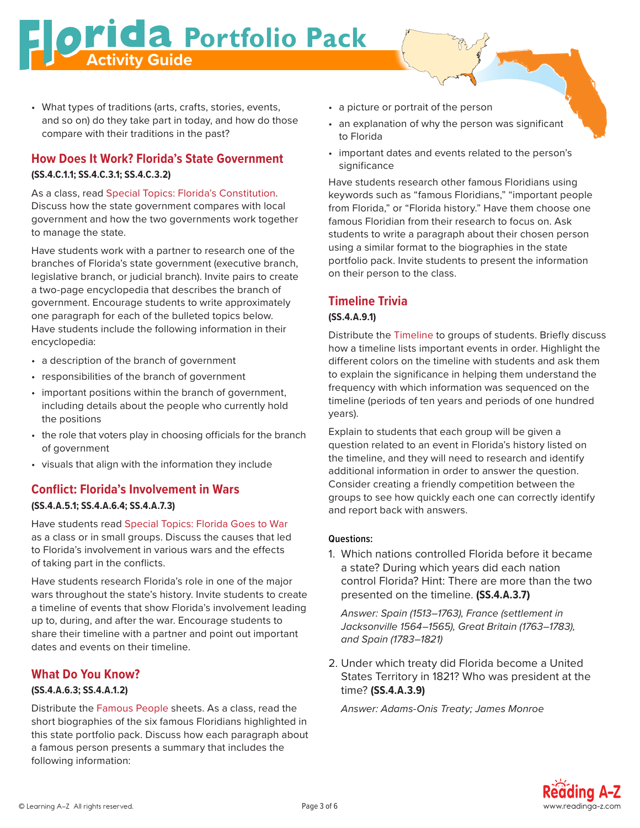# **Activity Guide**<br>Activity Guide

• What types of traditions (arts, crafts, stories, events, and so on) do they take part in today, and how do those compare with their traditions in the past?

# **How Does It Work? Florida's State Government (SS.4.C.1.1; SS.4.C.3.1; SS.4.C.3.2)**

As a class, read Special Topics: Florida's Constitution. Discuss how the state government compares with local government and how the two governments work together to manage the state.

Have students work with a partner to research one of the branches of Florida's state government (executive branch, legislative branch, or judicial branch). Invite pairs to create a two-page encyclopedia that describes the branch of government. Encourage students to write approximately one paragraph for each of the bulleted topics below. Have students include the following information in their encyclopedia:

- a description of the branch of government
- responsibilities of the branch of government
- important positions within the branch of government, including details about the people who currently hold the positions
- the role that voters play in choosing officials for the branch of government
- visuals that align with the information they include

# **Conflict: Florida's Involvement in Wars (SS.4.A.5.1; SS.4.A.6.4; SS.4.A.7.3)**

Have students read Special Topics: Florida Goes to War as a class or in small groups. Discuss the causes that led to Florida's involvement in various wars and the effects of taking part in the conflicts.

Have students research Florida's role in one of the major wars throughout the state's history. Invite students to create a timeline of events that show Florida's involvement leading up to, during, and after the war. Encourage students to share their timeline with a partner and point out important dates and events on their timeline.

# **What Do You Know?**

# **(SS.4.A.6.3; SS.4.A.1.2)**

Distribute the Famous People sheets. As a class, read the short biographies of the six famous Floridians highlighted in this state portfolio pack. Discuss how each paragraph about a famous person presents a summary that includes the following information:

- a picture or portrait of the person
- an explanation of why the person was significant to Florida
- important dates and events related to the person's significance

Have students research other famous Floridians using keywords such as "famous Floridians," "important people from Florida," or "Florida history." Have them choose one famous Floridian from their research to focus on. Ask students to write a paragraph about their chosen person using a similar format to the biographies in the state portfolio pack. Invite students to present the information on their person to the class.

# **Timeline Trivia**

## **(SS.4.A.9.1)**

Distribute the Timeline to groups of students. Briefly discuss how a timeline lists important events in order. Highlight the different colors on the timeline with students and ask them to explain the significance in helping them understand the frequency with which information was sequenced on the timeline (periods of ten years and periods of one hundred years).

Explain to students that each group will be given a question related to an event in Florida's history listed on the timeline, and they will need to research and identify additional information in order to answer the question. Consider creating a friendly competition between the groups to see how quickly each one can correctly identify and report back with answers.

### **Questions:**

1. Which nations controlled Florida before it became a state? During which years did each nation control Florida? Hint: There are more than the two presented on the timeline. **(SS.4.A.3.7)**

*Answer: Spain (1513–1763), France (settlement in Jacksonville 1564–1565), Great Britain (1763–1783), and Spain (1783–1821)*

2. Under which treaty did Florida become a United States Territory in 1821? Who was president at the time? **(SS.4.A.3.9)**

*Answer: Adams-Onis Treaty; James Monroe*

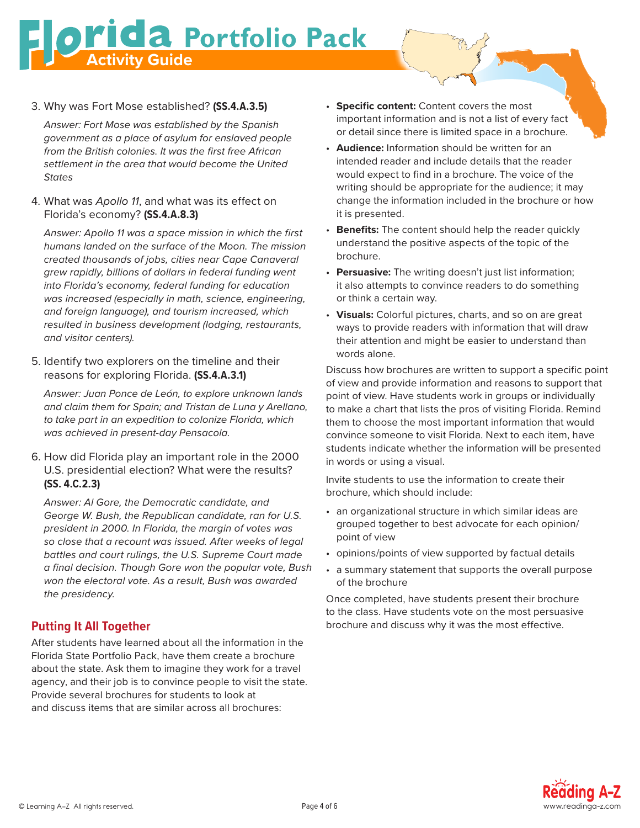**Activity Guide**<br>Activity Guide

3. Why was Fort Mose established? **(SS.4.A.3.5)**

*Answer: Fort Mose was established by the Spanish government as a place of asylum for enslaved people from the British colonies. It was the first free African settlement in the area that would become the United States*

4. What was *Apollo 11*, and what was its effect on Florida's economy? **(SS.4.A.8.3)**

*Answer: Apollo 11 was a space mission in which the first humans landed on the surface of the Moon. The mission created thousands of jobs, cities near Cape Canaveral grew rapidly, billions of dollars in federal funding went into Florida's economy, federal funding for education was increased (especially in math, science, engineering, and foreign language), and tourism increased, which resulted in business development (lodging, restaurants, and visitor centers).*

5. Identify two explorers on the timeline and their reasons for exploring Florida. **(SS.4.A.3.1)**

*Answer: Juan Ponce de León, to explore unknown lands and claim them for Spain; and Tristan de Luna y Arellano, to take part in an expedition to colonize Florida, which was achieved in present-day Pensacola.*

6. How did Florida play an important role in the 2000 U.S. presidential election? What were the results? **(SS. 4.C.2.3)**

*Answer: Al Gore, the Democratic candidate, and George W. Bush, the Republican candidate, ran for U.S. president in 2000. In Florida, the margin of votes was so close that a recount was issued. After weeks of legal battles and court rulings, the U.S. Supreme Court made a final decision. Though Gore won the popular vote, Bush won the electoral vote. As a result, Bush was awarded the presidency.* 

# **Putting It All Together**

After students have learned about all the information in the Florida State Portfolio Pack, have them create a brochure about the state. Ask them to imagine they work for a travel agency, and their job is to convince people to visit the state. Provide several brochures for students to look at and discuss items that are similar across all brochures:

- **Specific content:** Content covers the most important information and is not a list of every fact or detail since there is limited space in a brochure.
- **Audience:** Information should be written for an intended reader and include details that the reader would expect to find in a brochure. The voice of the writing should be appropriate for the audience; it may change the information included in the brochure or how it is presented.
- **Benefits:** The content should help the reader quickly understand the positive aspects of the topic of the brochure.
- **Persuasive:** The writing doesn't just list information; it also attempts to convince readers to do something or think a certain way.
- **Visuals:** Colorful pictures, charts, and so on are great ways to provide readers with information that will draw their attention and might be easier to understand than words alone.

Discuss how brochures are written to support a specific point of view and provide information and reasons to support that point of view. Have students work in groups or individually to make a chart that lists the pros of visiting Florida. Remind them to choose the most important information that would convince someone to visit Florida. Next to each item, have students indicate whether the information will be presented in words or using a visual.

Invite students to use the information to create their brochure, which should include:

- an organizational structure in which similar ideas are grouped together to best advocate for each opinion/ point of view
- opinions/points of view supported by factual details
- a summary statement that supports the overall purpose of the brochure

Once completed, have students present their brochure to the class. Have students vote on the most persuasive brochure and discuss why it was the most effective.

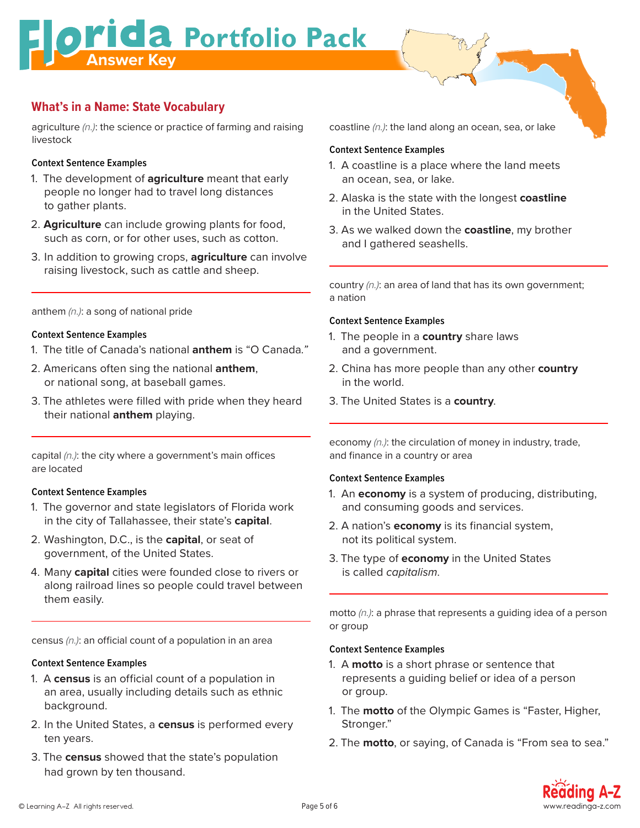**Answer Key Report Following Pack** 

# **What's in a Name: State Vocabulary**

agriculture *(n.)*: the science or practice of farming and raising livestock

## **Context Sentence Examples**

- 1. The development of **agriculture** meant that early people no longer had to travel long distances to gather plants.
- 2. **Agriculture** can include growing plants for food, such as corn, or for other uses, such as cotton.
- 3. In addition to growing crops, **agriculture** can involve raising livestock, such as cattle and sheep.

## anthem *(n.)*: a song of national pride

## **Context Sentence Examples**

- 1. The title of Canada's national **anthem** is "O Canada*."*
- 2. Americans often sing the national **anthem**, or national song, at baseball games.
- 3. The athletes were filled with pride when they heard their national **anthem** playing.

capital *(n.)*: the city where a government's main offices are located

# **Context Sentence Examples**

- 1. The governor and state legislators of Florida work in the city of Tallahassee, their state's **capital**.
- 2. Washington, D.C., is the **capital**, or seat of government, of the United States.
- 4. Many **capital** cities were founded close to rivers or along railroad lines so people could travel between them easily.

census *(n.)*: an official count of a population in an area

## **Context Sentence Examples**

- 1. A **census** is an official count of a population in an area, usually including details such as ethnic background.
- 2. In the United States, a **census** is performed every ten years.
- 3. The **census** showed that the state's population had grown by ten thousand.

coastline *(n.)*: the land along an ocean, sea, or lake

## **Context Sentence Examples**

- 1. A coastline is a place where the land meets an ocean, sea, or lake.
- 2. Alaska is the state with the longest **coastline** in the United States.
- 3. As we walked down the **coastline**, my brother and I gathered seashells.

country *(n.)*: an area of land that has its own government; a nation

## **Context Sentence Examples**

- 1. The people in a **country** share laws and a government.
- 2. China has more people than any other **country**  in the world.
- 3. The United States is a **country**.

economy *(n.)*: the circulation of money in industry, trade, and finance in a country or area

## **Context Sentence Examples**

- 1. An **economy** is a system of producing, distributing, and consuming goods and services.
- 2. A nation's **economy** is its financial system, not its political system.
- 3. The type of **economy** in the United States is called *capitalism*.

motto *(n.)*: a phrase that represents a guiding idea of a person or group

## **Context Sentence Examples**

- 1. A **motto** is a short phrase or sentence that represents a guiding belief or idea of a person or group.
- 1. The **motto** of the Olympic Games is "Faster, Higher, Stronger."
- 2. The **motto**, or saying, of Canada is "From sea to sea."